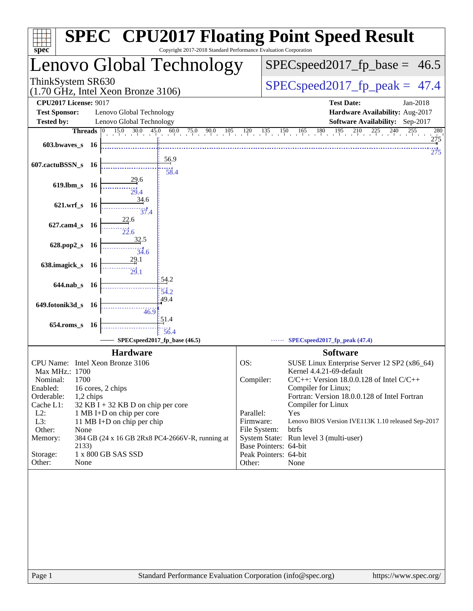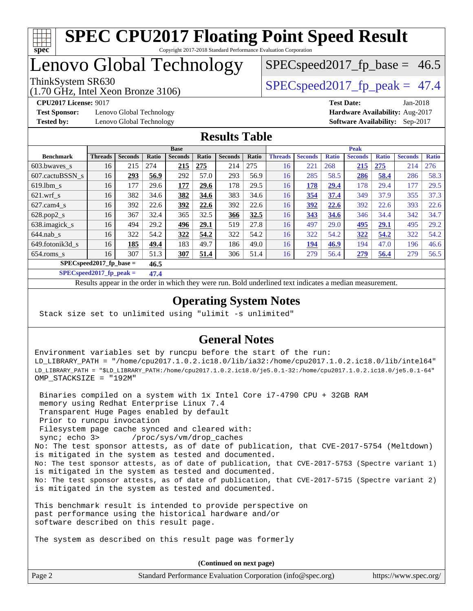

# Lenovo Global Technology

(1.70 GHz, Intel Xeon Bronze 3106)

ThinkSystem SR630  $SPEC speed2017$  fp\_peak = 47.4

 $SPECspeed2017<sub>fp</sub> base = 46.5$ 

**[Test Sponsor:](http://www.spec.org/auto/cpu2017/Docs/result-fields.html#TestSponsor)** Lenovo Global Technology **[Hardware Availability:](http://www.spec.org/auto/cpu2017/Docs/result-fields.html#HardwareAvailability)** Aug-2017

**[CPU2017 License:](http://www.spec.org/auto/cpu2017/Docs/result-fields.html#CPU2017License)** 9017 **[Test Date:](http://www.spec.org/auto/cpu2017/Docs/result-fields.html#TestDate)** Jan-2018 **[Tested by:](http://www.spec.org/auto/cpu2017/Docs/result-fields.html#Testedby)** Lenovo Global Technology **[Software Availability:](http://www.spec.org/auto/cpu2017/Docs/result-fields.html#SoftwareAvailability)** Sep-2017

### **[Results Table](http://www.spec.org/auto/cpu2017/Docs/result-fields.html#ResultsTable)**

|                           | <b>Base</b>    |                |       |                |       |                | <b>Peak</b> |                |                |              |                |              |                |              |
|---------------------------|----------------|----------------|-------|----------------|-------|----------------|-------------|----------------|----------------|--------------|----------------|--------------|----------------|--------------|
| <b>Benchmark</b>          | <b>Threads</b> | <b>Seconds</b> | Ratio | <b>Seconds</b> | Ratio | <b>Seconds</b> | Ratio       | <b>Threads</b> | <b>Seconds</b> | <b>Ratio</b> | <b>Seconds</b> | <b>Ratio</b> | <b>Seconds</b> | <b>Ratio</b> |
| 603.bwaves_s              | 16             | 215            | 274   | 215            | 275   | 214            | 275         | 16             | 221            | 268          | 215            | 275          | 214            | 276          |
| 607.cactuBSSN s           | 16             | 293            | 56.9  | 292            | 57.0  | 293            | 56.9        | 16             | 285            | 58.5         | 286            | 58.4         | 286            | 58.3         |
| $619.1$ bm s              | 16             | 177            | 29.6  | 177            | 29.6  | 178            | 29.5        | 16             | 178            | 29.4         | 178            | 29.4         | 177            | 29.5         |
| $621$ .wrf s              | 16             | 382            | 34.6  | 382            | 34.6  | 383            | 34.6        | 16             | 354            | 37.4         | 349            | 37.9         | 355            | 37.3         |
| $627$ .cam $4$ s          | 16             | 392            | 22.6  | <u>392</u>     | 22.6  | 392            | 22.6        | 16             | 392            | 22.6         | 392            | 22.6         | 393            | 22.6         |
| $628.pop2_s$              | 16             | 367            | 32.4  | 365            | 32.5  | 366            | 32.5        | 16             | 343            | 34.6         | 346            | 34.4         | 342            | 34.7         |
| 638.imagick_s             | 16             | 494            | 29.2  | 496            | 29.1  | 519            | 27.8        | 16             | 497            | 29.0         | 495            | 29.1         | 495            | 29.2         |
| $644$ .nab s              | 16             | 322            | 54.2  | 322            | 54.2  | 322            | 54.2        | 16             | 322            | 54.2         | 322            | 54.2         | 322            | 54.2         |
| 649.fotonik3d s           | 16             | 185            | 49.4  | 183            | 49.7  | 186            | 49.0        | 16             | 194            | 46.9         | 194            | 47.0         | 196            | 46.6         |
| $654$ .roms s             | 16             | 307            | 51.3  | 307            | 51.4  | 306            | 51.4        | 16             | 279            | 56.4         | 279            | 56.4         | 279            | 56.5         |
| $SPECspeed2017$ fp base = |                | 46.5           |       |                |       |                |             |                |                |              |                |              |                |              |

**[SPECspeed2017\\_fp\\_peak =](http://www.spec.org/auto/cpu2017/Docs/result-fields.html#SPECspeed2017fppeak) 47.4**

Results appear in the [order in which they were run.](http://www.spec.org/auto/cpu2017/Docs/result-fields.html#RunOrder) Bold underlined text [indicates a median measurement](http://www.spec.org/auto/cpu2017/Docs/result-fields.html#Median).

### **[Operating System Notes](http://www.spec.org/auto/cpu2017/Docs/result-fields.html#OperatingSystemNotes)**

Stack size set to unlimited using "ulimit -s unlimited"

### **[General Notes](http://www.spec.org/auto/cpu2017/Docs/result-fields.html#GeneralNotes)**

Environment variables set by runcpu before the start of the run: LD\_LIBRARY\_PATH = "/home/cpu2017.1.0.2.ic18.0/lib/ia32:/home/cpu2017.1.0.2.ic18.0/lib/intel64" LD\_LIBRARY\_PATH = "\$LD\_LIBRARY\_PATH:/home/cpu2017.1.0.2.ic18.0/je5.0.1-32:/home/cpu2017.1.0.2.ic18.0/je5.0.1-64" OMP\_STACKSIZE = "192M"

 Binaries compiled on a system with 1x Intel Core i7-4790 CPU + 32GB RAM memory using Redhat Enterprise Linux 7.4 Transparent Huge Pages enabled by default Prior to runcpu invocation Filesystem page cache synced and cleared with: sync; echo 3> /proc/sys/vm/drop\_caches No: The test sponsor attests, as of date of publication, that CVE-2017-5754 (Meltdown) is mitigated in the system as tested and documented. No: The test sponsor attests, as of date of publication, that CVE-2017-5753 (Spectre variant 1) is mitigated in the system as tested and documented. No: The test sponsor attests, as of date of publication, that CVE-2017-5715 (Spectre variant 2) is mitigated in the system as tested and documented.

This benchmark result is intended to provide perspective on past performance using the historical hardware and/or software described on this result page.

The system as described on this result page was formerly

Page 2 Standard Performance Evaluation Corporation [\(info@spec.org\)](mailto:info@spec.org) <https://www.spec.org/> **(Continued on next page)**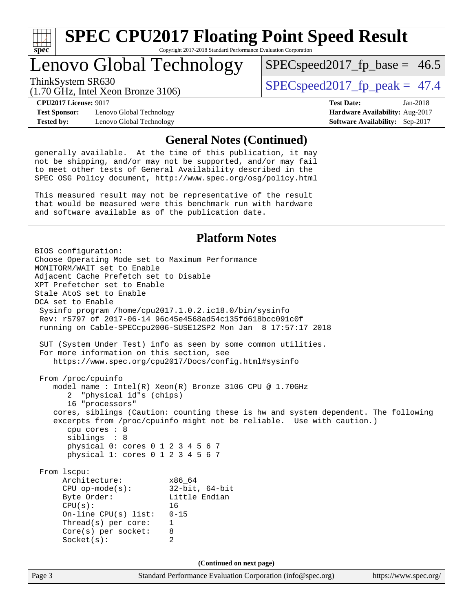

# Lenovo Global Technology

ThinkSystem SR630  $SPEC speed2017$  fp\_peak = 47.4

 $SPECspeed2017<sub>fp</sub> base = 46.5$ 

(1.70 GHz, Intel Xeon Bronze 3106)

**[CPU2017 License:](http://www.spec.org/auto/cpu2017/Docs/result-fields.html#CPU2017License)** 9017 **[Test Date:](http://www.spec.org/auto/cpu2017/Docs/result-fields.html#TestDate)** Jan-2018

**[Tested by:](http://www.spec.org/auto/cpu2017/Docs/result-fields.html#Testedby)** Lenovo Global Technology **[Software Availability:](http://www.spec.org/auto/cpu2017/Docs/result-fields.html#SoftwareAvailability)** Sep-2017

**[Test Sponsor:](http://www.spec.org/auto/cpu2017/Docs/result-fields.html#TestSponsor)** Lenovo Global Technology **[Hardware Availability:](http://www.spec.org/auto/cpu2017/Docs/result-fields.html#HardwareAvailability)** Aug-2017

### **[General Notes \(Continued\)](http://www.spec.org/auto/cpu2017/Docs/result-fields.html#GeneralNotes)**

generally available. At the time of this publication, it may not be shipping, and/or may not be supported, and/or may fail to meet other tests of General Availability described in the SPEC OSG Policy document, <http://www.spec.org/osg/policy.html>

This measured result may not be representative of the result that would be measured were this benchmark run with hardware and software available as of the publication date.

### **[Platform Notes](http://www.spec.org/auto/cpu2017/Docs/result-fields.html#PlatformNotes)**

Page 3 Standard Performance Evaluation Corporation [\(info@spec.org\)](mailto:info@spec.org) <https://www.spec.org/> BIOS configuration: Choose Operating Mode set to Maximum Performance MONITORM/WAIT set to Enable Adjacent Cache Prefetch set to Disable XPT Prefetcher set to Enable Stale AtoS set to Enable DCA set to Enable Sysinfo program /home/cpu2017.1.0.2.ic18.0/bin/sysinfo Rev: r5797 of 2017-06-14 96c45e4568ad54c135fd618bcc091c0f running on Cable-SPECcpu2006-SUSE12SP2 Mon Jan 8 17:57:17 2018 SUT (System Under Test) info as seen by some common utilities. For more information on this section, see <https://www.spec.org/cpu2017/Docs/config.html#sysinfo> From /proc/cpuinfo model name : Intel(R) Xeon(R) Bronze 3106 CPU @ 1.70GHz 2 "physical id"s (chips) 16 "processors" cores, siblings (Caution: counting these is hw and system dependent. The following excerpts from /proc/cpuinfo might not be reliable. Use with caution.) cpu cores : 8 siblings : 8 physical 0: cores 0 1 2 3 4 5 6 7 physical 1: cores 0 1 2 3 4 5 6 7 From lscpu: Architecture: x86\_64<br>
CPU op-mode(s): 32-bit, 64-bit CPU op-mode $(s):$ Byte Order: Little Endian CPU(s): 16 On-line CPU(s) list: 0-15 Thread(s) per core: 1 Core(s) per socket: 8 Socket(s): 2 **(Continued on next page)**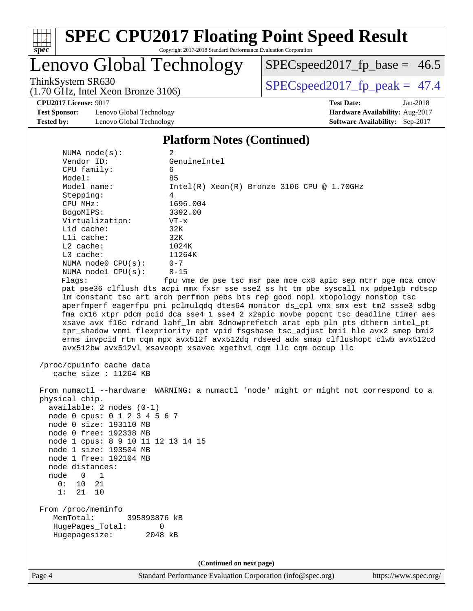

# **[SPEC CPU2017 Floating Point Speed Result](http://www.spec.org/auto/cpu2017/Docs/result-fields.html#SPECCPU2017FloatingPointSpeedResult)**

Copyright 2017-2018 Standard Performance Evaluation Corporation

# Lenovo Global Technology

[SPECspeed2017\\_fp\\_base =](http://www.spec.org/auto/cpu2017/Docs/result-fields.html#SPECspeed2017fpbase) 46.5

(1.70 GHz, Intel Xeon Bronze 3106)

ThinkSystem SR630<br>(1.70 GHz, Intel Xeon Bronze 3106) [SPECspeed2017\\_fp\\_peak =](http://www.spec.org/auto/cpu2017/Docs/result-fields.html#SPECspeed2017fppeak) 47.4

**[CPU2017 License:](http://www.spec.org/auto/cpu2017/Docs/result-fields.html#CPU2017License)** 9017 **[Test Date:](http://www.spec.org/auto/cpu2017/Docs/result-fields.html#TestDate)** Jan-2018

**[Test Sponsor:](http://www.spec.org/auto/cpu2017/Docs/result-fields.html#TestSponsor)** Lenovo Global Technology **[Hardware Availability:](http://www.spec.org/auto/cpu2017/Docs/result-fields.html#HardwareAvailability)** Aug-2017 **[Tested by:](http://www.spec.org/auto/cpu2017/Docs/result-fields.html#Testedby)** Lenovo Global Technology **[Software Availability:](http://www.spec.org/auto/cpu2017/Docs/result-fields.html#SoftwareAvailability)** Sep-2017

#### **[Platform Notes \(Continued\)](http://www.spec.org/auto/cpu2017/Docs/result-fields.html#PlatformNotes)**

| NUMA node(s):                                          | 2                                                                                                                                                                                                                                                                                                                                                                                                                                                                                                                                                                                                                                                                                    |
|--------------------------------------------------------|--------------------------------------------------------------------------------------------------------------------------------------------------------------------------------------------------------------------------------------------------------------------------------------------------------------------------------------------------------------------------------------------------------------------------------------------------------------------------------------------------------------------------------------------------------------------------------------------------------------------------------------------------------------------------------------|
| Vendor ID:                                             | GenuineIntel                                                                                                                                                                                                                                                                                                                                                                                                                                                                                                                                                                                                                                                                         |
| CPU family:                                            | 6                                                                                                                                                                                                                                                                                                                                                                                                                                                                                                                                                                                                                                                                                    |
| Model:                                                 | 85                                                                                                                                                                                                                                                                                                                                                                                                                                                                                                                                                                                                                                                                                   |
| Model name:                                            | $Intel(R) Xeon(R) Bronze 3106 CPU @ 1.70GHz$                                                                                                                                                                                                                                                                                                                                                                                                                                                                                                                                                                                                                                         |
| Stepping:                                              | 4                                                                                                                                                                                                                                                                                                                                                                                                                                                                                                                                                                                                                                                                                    |
| CPU MHz:                                               | 1696.004                                                                                                                                                                                                                                                                                                                                                                                                                                                                                                                                                                                                                                                                             |
| BogoMIPS:                                              | 3392.00                                                                                                                                                                                                                                                                                                                                                                                                                                                                                                                                                                                                                                                                              |
| Virtualization:                                        | $VT - x$                                                                                                                                                                                                                                                                                                                                                                                                                                                                                                                                                                                                                                                                             |
| L1d cache:                                             | 32K                                                                                                                                                                                                                                                                                                                                                                                                                                                                                                                                                                                                                                                                                  |
| Lli cache:                                             | 32K                                                                                                                                                                                                                                                                                                                                                                                                                                                                                                                                                                                                                                                                                  |
| $L2$ cache:                                            | 1024K                                                                                                                                                                                                                                                                                                                                                                                                                                                                                                                                                                                                                                                                                |
| $L3$ cache:                                            | 11264K                                                                                                                                                                                                                                                                                                                                                                                                                                                                                                                                                                                                                                                                               |
| NUMA node0 CPU(s):                                     | $0 - 7$                                                                                                                                                                                                                                                                                                                                                                                                                                                                                                                                                                                                                                                                              |
| NUMA nodel $CPU(s):$                                   | $8 - 15$                                                                                                                                                                                                                                                                                                                                                                                                                                                                                                                                                                                                                                                                             |
| Flags:                                                 | fpu vme de pse tsc msr pae mce cx8 apic sep mtrr pge mca cmov                                                                                                                                                                                                                                                                                                                                                                                                                                                                                                                                                                                                                        |
|                                                        | pat pse36 clflush dts acpi mmx fxsr sse sse2 ss ht tm pbe syscall nx pdpelgb rdtscp<br>lm constant_tsc art arch_perfmon pebs bts rep_good nopl xtopology nonstop_tsc<br>aperfmperf eagerfpu pni pclmulqdq dtes64 monitor ds_cpl vmx smx est tm2 ssse3 sdbg<br>fma cx16 xtpr pdcm pcid dca sse4_1 sse4_2 x2apic movbe popcnt tsc_deadline_timer aes<br>xsave avx f16c rdrand lahf_lm abm 3dnowprefetch arat epb pln pts dtherm intel_pt<br>tpr_shadow vnmi flexpriority ept vpid fsgsbase tsc_adjust bmil hle avx2 smep bmi2<br>erms invpcid rtm cqm mpx avx512f avx512dq rdseed adx smap clflushopt clwb avx512cd<br>avx512bw avx512vl xsaveopt xsavec xgetbvl cqm_llc cqm_occup_llc |
|                                                        |                                                                                                                                                                                                                                                                                                                                                                                                                                                                                                                                                                                                                                                                                      |
| /proc/cpuinfo cache data<br>cache size : $11264$ KB    |                                                                                                                                                                                                                                                                                                                                                                                                                                                                                                                                                                                                                                                                                      |
|                                                        | From numactl --hardware WARNING: a numactl 'node' might or might not correspond to a                                                                                                                                                                                                                                                                                                                                                                                                                                                                                                                                                                                                 |
| physical chip.                                         |                                                                                                                                                                                                                                                                                                                                                                                                                                                                                                                                                                                                                                                                                      |
| $available: 2 nodes (0-1)$                             |                                                                                                                                                                                                                                                                                                                                                                                                                                                                                                                                                                                                                                                                                      |
| node 0 cpus: 0 1 2 3 4 5 6 7<br>node 0 size: 193110 MB |                                                                                                                                                                                                                                                                                                                                                                                                                                                                                                                                                                                                                                                                                      |
| node 0 free: 192338 MB                                 |                                                                                                                                                                                                                                                                                                                                                                                                                                                                                                                                                                                                                                                                                      |
| node 1 cpus: 8 9 10 11 12 13 14 15                     |                                                                                                                                                                                                                                                                                                                                                                                                                                                                                                                                                                                                                                                                                      |
| node 1 size: 193504 MB                                 |                                                                                                                                                                                                                                                                                                                                                                                                                                                                                                                                                                                                                                                                                      |
| node 1 free: 192104 MB                                 |                                                                                                                                                                                                                                                                                                                                                                                                                                                                                                                                                                                                                                                                                      |
| node distances:                                        |                                                                                                                                                                                                                                                                                                                                                                                                                                                                                                                                                                                                                                                                                      |
| node<br>$0\quad 1$                                     |                                                                                                                                                                                                                                                                                                                                                                                                                                                                                                                                                                                                                                                                                      |
| 10 21<br>0:                                            |                                                                                                                                                                                                                                                                                                                                                                                                                                                                                                                                                                                                                                                                                      |
| 1: 21 10                                               |                                                                                                                                                                                                                                                                                                                                                                                                                                                                                                                                                                                                                                                                                      |
|                                                        |                                                                                                                                                                                                                                                                                                                                                                                                                                                                                                                                                                                                                                                                                      |
| From /proc/meminfo<br>MemTotal:<br>395893876 kB        |                                                                                                                                                                                                                                                                                                                                                                                                                                                                                                                                                                                                                                                                                      |
| HugePages_Total:<br>Hugepagesize:                      | 0<br>2048 kB                                                                                                                                                                                                                                                                                                                                                                                                                                                                                                                                                                                                                                                                         |
|                                                        |                                                                                                                                                                                                                                                                                                                                                                                                                                                                                                                                                                                                                                                                                      |
|                                                        |                                                                                                                                                                                                                                                                                                                                                                                                                                                                                                                                                                                                                                                                                      |
|                                                        | (Continued on next page)                                                                                                                                                                                                                                                                                                                                                                                                                                                                                                                                                                                                                                                             |
|                                                        |                                                                                                                                                                                                                                                                                                                                                                                                                                                                                                                                                                                                                                                                                      |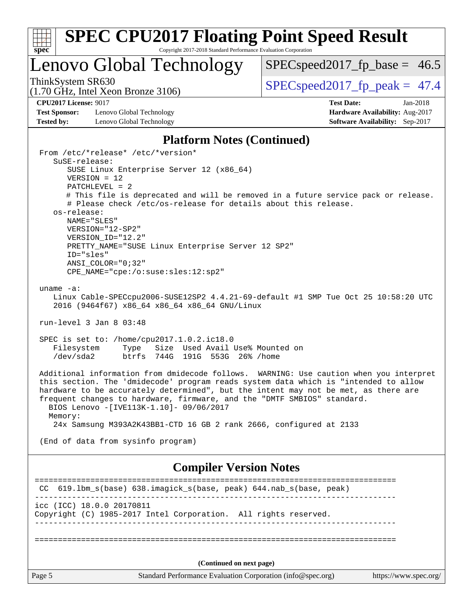

# **[SPEC CPU2017 Floating Point Speed Result](http://www.spec.org/auto/cpu2017/Docs/result-fields.html#SPECCPU2017FloatingPointSpeedResult)**

Copyright 2017-2018 Standard Performance Evaluation Corporation

# Lenovo Global Technology

[SPECspeed2017\\_fp\\_base =](http://www.spec.org/auto/cpu2017/Docs/result-fields.html#SPECspeed2017fpbase) 46.5

(1.70 GHz, Intel Xeon Bronze 3106)

ThinkSystem SR630<br>(1.70 GHz, Intel Xeon Bronze 3106) [SPECspeed2017\\_fp\\_peak =](http://www.spec.org/auto/cpu2017/Docs/result-fields.html#SPECspeed2017fppeak) 47.4

**[Test Sponsor:](http://www.spec.org/auto/cpu2017/Docs/result-fields.html#TestSponsor)** Lenovo Global Technology **[Hardware Availability:](http://www.spec.org/auto/cpu2017/Docs/result-fields.html#HardwareAvailability)** Aug-2017 **[Tested by:](http://www.spec.org/auto/cpu2017/Docs/result-fields.html#Testedby)** Lenovo Global Technology **[Software Availability:](http://www.spec.org/auto/cpu2017/Docs/result-fields.html#SoftwareAvailability)** Sep-2017

**[CPU2017 License:](http://www.spec.org/auto/cpu2017/Docs/result-fields.html#CPU2017License)** 9017 **[Test Date:](http://www.spec.org/auto/cpu2017/Docs/result-fields.html#TestDate)** Jan-2018

### **[Platform Notes \(Continued\)](http://www.spec.org/auto/cpu2017/Docs/result-fields.html#PlatformNotes)**

| From /etc/*release* /etc/*version*<br>SuSE-release:                                                                                                                                                                                                                                                                                                                                                  |                       |
|------------------------------------------------------------------------------------------------------------------------------------------------------------------------------------------------------------------------------------------------------------------------------------------------------------------------------------------------------------------------------------------------------|-----------------------|
| SUSE Linux Enterprise Server 12 (x86_64)                                                                                                                                                                                                                                                                                                                                                             |                       |
| $VERSION = 12$<br>$PATCHLEVEL = 2$                                                                                                                                                                                                                                                                                                                                                                   |                       |
| # This file is deprecated and will be removed in a future service pack or release.<br># Please check /etc/os-release for details about this release.                                                                                                                                                                                                                                                 |                       |
| os-release:<br>NAME="SLES"                                                                                                                                                                                                                                                                                                                                                                           |                       |
| VERSION="12-SP2"                                                                                                                                                                                                                                                                                                                                                                                     |                       |
| VERSION_ID="12.2"<br>PRETTY_NAME="SUSE Linux Enterprise Server 12 SP2"                                                                                                                                                                                                                                                                                                                               |                       |
| ID="sles"<br>ANSI COLOR="0;32"                                                                                                                                                                                                                                                                                                                                                                       |                       |
| CPE_NAME="cpe:/o:suse:sles:12:sp2"                                                                                                                                                                                                                                                                                                                                                                   |                       |
| uname $-a$ :                                                                                                                                                                                                                                                                                                                                                                                         |                       |
| Linux Cable-SPECcpu2006-SUSE12SP2 4.4.21-69-default #1 SMP Tue Oct 25 10:58:20 UTC<br>2016 (9464f67) x86_64 x86_64 x86_64 GNU/Linux                                                                                                                                                                                                                                                                  |                       |
| run-level $3$ Jan $8$ 03:48                                                                                                                                                                                                                                                                                                                                                                          |                       |
| SPEC is set to: /home/cpu2017.1.0.2.ic18.0<br>Filesystem<br>Type Size Used Avail Use% Mounted on<br>/dev/sda2<br>btrfs 744G 191G 553G 26% / home                                                                                                                                                                                                                                                     |                       |
| Additional information from dmidecode follows. WARNING: Use caution when you interpret<br>this section. The 'dmidecode' program reads system data which is "intended to allow<br>hardware to be accurately determined", but the intent may not be met, as there are<br>frequent changes to hardware, firmware, and the "DMTF SMBIOS" standard.<br>BIOS Lenovo -[IVE113K-1.10]- 09/06/2017<br>Memory: |                       |
| 24x Samsung M393A2K43BB1-CTD 16 GB 2 rank 2666, configured at 2133                                                                                                                                                                                                                                                                                                                                   |                       |
| (End of data from sysinfo program)                                                                                                                                                                                                                                                                                                                                                                   |                       |
| <b>Compiler Version Notes</b>                                                                                                                                                                                                                                                                                                                                                                        |                       |
| =============================<br>619.1bm_s(base) 638.imagick_s(base, peak) 644.nab_s(base, peak)<br>CC.                                                                                                                                                                                                                                                                                              |                       |
| icc (ICC) 18.0.0 20170811<br>Copyright (C) 1985-2017 Intel Corporation. All rights reserved.                                                                                                                                                                                                                                                                                                         |                       |
|                                                                                                                                                                                                                                                                                                                                                                                                      |                       |
| (Continued on next page)                                                                                                                                                                                                                                                                                                                                                                             |                       |
| Standard Performance Evaluation Corporation (info@spec.org)<br>Page 5                                                                                                                                                                                                                                                                                                                                | https://www.spec.org/ |
|                                                                                                                                                                                                                                                                                                                                                                                                      |                       |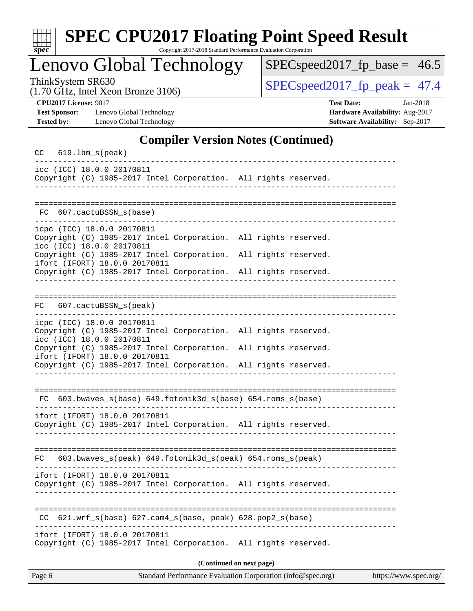| ×<br>Ľ |  |  |  |  |  |  |
|--------|--|--|--|--|--|--|

# **[SPEC CPU2017 Floating Point Speed Result](http://www.spec.org/auto/cpu2017/Docs/result-fields.html#SPECCPU2017FloatingPointSpeedResult)**

Copyright 2017-2018 Standard Performance Evaluation Corporation

Lenovo Global Technology

[SPECspeed2017\\_fp\\_base =](http://www.spec.org/auto/cpu2017/Docs/result-fields.html#SPECspeed2017fpbase) 46.5

(1.70 GHz, Intel Xeon Bronze 3106)

ThinkSystem SR630<br>(1.70 GHz, Intel Xeon Bronze 3106) [SPECspeed2017\\_fp\\_peak =](http://www.spec.org/auto/cpu2017/Docs/result-fields.html#SPECspeed2017fppeak) 47.4

**[Test Sponsor:](http://www.spec.org/auto/cpu2017/Docs/result-fields.html#TestSponsor)** Lenovo Global Technology **[Hardware Availability:](http://www.spec.org/auto/cpu2017/Docs/result-fields.html#HardwareAvailability)** Aug-2017 **[Tested by:](http://www.spec.org/auto/cpu2017/Docs/result-fields.html#Testedby)** Lenovo Global Technology **[Software Availability:](http://www.spec.org/auto/cpu2017/Docs/result-fields.html#SoftwareAvailability)** Sep-2017

**[CPU2017 License:](http://www.spec.org/auto/cpu2017/Docs/result-fields.html#CPU2017License)** 9017 **[Test Date:](http://www.spec.org/auto/cpu2017/Docs/result-fields.html#TestDate)** Jan-2018

### **[Compiler Version Notes \(Continued\)](http://www.spec.org/auto/cpu2017/Docs/result-fields.html#CompilerVersionNotes)**

| CC     | $619.1$ bm_s(peak)                                      |                                                                                                               |  |                      |                       |
|--------|---------------------------------------------------------|---------------------------------------------------------------------------------------------------------------|--|----------------------|-----------------------|
|        | icc (ICC) 18.0.0 20170811                               | Copyright (C) 1985-2017 Intel Corporation. All rights reserved.                                               |  |                      |                       |
| FC.    | 607.cactuBSSN s(base)                                   |                                                                                                               |  |                      |                       |
|        | icpc (ICC) 18.0.0 20170811<br>icc (ICC) 18.0.0 20170811 | Copyright (C) 1985-2017 Intel Corporation. All rights reserved.                                               |  |                      |                       |
|        | ifort (IFORT) 18.0.0 20170811                           | Copyright (C) 1985-2017 Intel Corporation.<br>Copyright (C) 1985-2017 Intel Corporation. All rights reserved. |  | All rights reserved. |                       |
|        |                                                         |                                                                                                               |  |                      |                       |
| FC     | 607.cactuBSSN_s(peak)                                   |                                                                                                               |  |                      |                       |
|        | icpc (ICC) 18.0.0 20170811<br>icc (ICC) 18.0.0 20170811 | Copyright (C) 1985-2017 Intel Corporation. All rights reserved.                                               |  |                      |                       |
|        | ifort (IFORT) 18.0.0 20170811                           | Copyright (C) 1985-2017 Intel Corporation.<br>Copyright (C) 1985-2017 Intel Corporation. All rights reserved. |  | All rights reserved. |                       |
|        |                                                         | FC 603.bwaves_s(base) 649.fotonik3d_s(base) 654.roms_s(base)                                                  |  |                      |                       |
|        | ifort (IFORT) 18.0.0 20170811                           | Copyright (C) 1985-2017 Intel Corporation. All rights reserved.                                               |  |                      |                       |
| FC     |                                                         | 603.bwaves_s(peak) 649.fotonik3d_s(peak) 654.roms_s(peak)                                                     |  |                      |                       |
|        | ifort (IFORT) 18.0.0 20170811                           | Copyright (C) 1985-2017 Intel Corporation. All rights reserved.                                               |  |                      |                       |
| CC.    |                                                         | 621.wrf_s(base) 627.cam4_s(base, peak) 628.pop2_s(base)                                                       |  |                      |                       |
|        | ifort (IFORT) 18.0.0 20170811                           | Copyright (C) 1985-2017 Intel Corporation. All rights reserved.                                               |  |                      |                       |
|        |                                                         | (Continued on next page)                                                                                      |  |                      |                       |
| Page 6 |                                                         | Standard Performance Evaluation Corporation (info@spec.org)                                                   |  |                      | https://www.spec.org/ |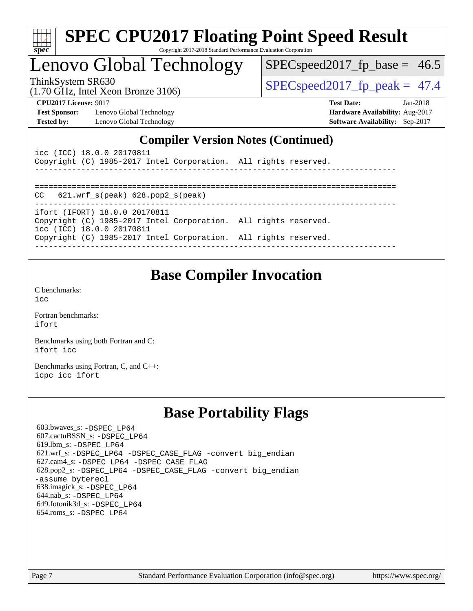| ч<br>e<br>ı.<br>c |  |  |  |  |  |
|-------------------|--|--|--|--|--|

# Lenovo Global Technology

 $SPECspeed2017_fp\_base = 46.5$ 

(1.70 GHz, Intel Xeon Bronze 3106)

ThinkSystem SR630<br>(1.70 GHz, Intel Year Bronze 3106) [SPECspeed2017\\_fp\\_peak =](http://www.spec.org/auto/cpu2017/Docs/result-fields.html#SPECspeed2017fppeak) 47.4

**[Test Sponsor:](http://www.spec.org/auto/cpu2017/Docs/result-fields.html#TestSponsor)** Lenovo Global Technology **[Hardware Availability:](http://www.spec.org/auto/cpu2017/Docs/result-fields.html#HardwareAvailability)** Aug-2017 **[Tested by:](http://www.spec.org/auto/cpu2017/Docs/result-fields.html#Testedby)** Lenovo Global Technology **[Software Availability:](http://www.spec.org/auto/cpu2017/Docs/result-fields.html#SoftwareAvailability)** Sep-2017

**[CPU2017 License:](http://www.spec.org/auto/cpu2017/Docs/result-fields.html#CPU2017License)** 9017 **[Test Date:](http://www.spec.org/auto/cpu2017/Docs/result-fields.html#TestDate)** Jan-2018

### **[Compiler Version Notes \(Continued\)](http://www.spec.org/auto/cpu2017/Docs/result-fields.html#CompilerVersionNotes)**

| icc (ICC) 18.0.0 20170811<br>Copyright (C) 1985-2017 Intel Corporation. All rights reserved. |  |
|----------------------------------------------------------------------------------------------|--|
|                                                                                              |  |
| $CC$ 621.wrf $s(\text{peak})$ 628.pop2 $s(\text{peak})$                                      |  |
| ifort (IFORT) 18.0.0 20170811                                                                |  |
| Copyright (C) 1985-2017 Intel Corporation. All rights reserved.<br>icc (ICC) 18.0.0 20170811 |  |
| Copyright (C) 1985-2017 Intel Corporation. All rights reserved.                              |  |

# **[Base Compiler Invocation](http://www.spec.org/auto/cpu2017/Docs/result-fields.html#BaseCompilerInvocation)**

[C benchmarks](http://www.spec.org/auto/cpu2017/Docs/result-fields.html#Cbenchmarks): [icc](http://www.spec.org/cpu2017/results/res2018q1/cpu2017-20180122-02756.flags.html#user_CCbase_intel_icc_18.0_66fc1ee009f7361af1fbd72ca7dcefbb700085f36577c54f309893dd4ec40d12360134090235512931783d35fd58c0460139e722d5067c5574d8eaf2b3e37e92)

[Fortran benchmarks](http://www.spec.org/auto/cpu2017/Docs/result-fields.html#Fortranbenchmarks): [ifort](http://www.spec.org/cpu2017/results/res2018q1/cpu2017-20180122-02756.flags.html#user_FCbase_intel_ifort_18.0_8111460550e3ca792625aed983ce982f94888b8b503583aa7ba2b8303487b4d8a21a13e7191a45c5fd58ff318f48f9492884d4413fa793fd88dd292cad7027ca)

[Benchmarks using both Fortran and C](http://www.spec.org/auto/cpu2017/Docs/result-fields.html#BenchmarksusingbothFortranandC): [ifort](http://www.spec.org/cpu2017/results/res2018q1/cpu2017-20180122-02756.flags.html#user_CC_FCbase_intel_ifort_18.0_8111460550e3ca792625aed983ce982f94888b8b503583aa7ba2b8303487b4d8a21a13e7191a45c5fd58ff318f48f9492884d4413fa793fd88dd292cad7027ca) [icc](http://www.spec.org/cpu2017/results/res2018q1/cpu2017-20180122-02756.flags.html#user_CC_FCbase_intel_icc_18.0_66fc1ee009f7361af1fbd72ca7dcefbb700085f36577c54f309893dd4ec40d12360134090235512931783d35fd58c0460139e722d5067c5574d8eaf2b3e37e92)

[Benchmarks using Fortran, C, and C++:](http://www.spec.org/auto/cpu2017/Docs/result-fields.html#BenchmarksusingFortranCandCXX) [icpc](http://www.spec.org/cpu2017/results/res2018q1/cpu2017-20180122-02756.flags.html#user_CC_CXX_FCbase_intel_icpc_18.0_c510b6838c7f56d33e37e94d029a35b4a7bccf4766a728ee175e80a419847e808290a9b78be685c44ab727ea267ec2f070ec5dc83b407c0218cded6866a35d07) [icc](http://www.spec.org/cpu2017/results/res2018q1/cpu2017-20180122-02756.flags.html#user_CC_CXX_FCbase_intel_icc_18.0_66fc1ee009f7361af1fbd72ca7dcefbb700085f36577c54f309893dd4ec40d12360134090235512931783d35fd58c0460139e722d5067c5574d8eaf2b3e37e92) [ifort](http://www.spec.org/cpu2017/results/res2018q1/cpu2017-20180122-02756.flags.html#user_CC_CXX_FCbase_intel_ifort_18.0_8111460550e3ca792625aed983ce982f94888b8b503583aa7ba2b8303487b4d8a21a13e7191a45c5fd58ff318f48f9492884d4413fa793fd88dd292cad7027ca)

# **[Base Portability Flags](http://www.spec.org/auto/cpu2017/Docs/result-fields.html#BasePortabilityFlags)**

 603.bwaves\_s: [-DSPEC\\_LP64](http://www.spec.org/cpu2017/results/res2018q1/cpu2017-20180122-02756.flags.html#suite_basePORTABILITY603_bwaves_s_DSPEC_LP64) 607.cactuBSSN\_s: [-DSPEC\\_LP64](http://www.spec.org/cpu2017/results/res2018q1/cpu2017-20180122-02756.flags.html#suite_basePORTABILITY607_cactuBSSN_s_DSPEC_LP64) 619.lbm\_s: [-DSPEC\\_LP64](http://www.spec.org/cpu2017/results/res2018q1/cpu2017-20180122-02756.flags.html#suite_basePORTABILITY619_lbm_s_DSPEC_LP64) 621.wrf\_s: [-DSPEC\\_LP64](http://www.spec.org/cpu2017/results/res2018q1/cpu2017-20180122-02756.flags.html#suite_basePORTABILITY621_wrf_s_DSPEC_LP64) [-DSPEC\\_CASE\\_FLAG](http://www.spec.org/cpu2017/results/res2018q1/cpu2017-20180122-02756.flags.html#b621.wrf_s_baseCPORTABILITY_DSPEC_CASE_FLAG) [-convert big\\_endian](http://www.spec.org/cpu2017/results/res2018q1/cpu2017-20180122-02756.flags.html#user_baseFPORTABILITY621_wrf_s_convert_big_endian_c3194028bc08c63ac5d04de18c48ce6d347e4e562e8892b8bdbdc0214820426deb8554edfa529a3fb25a586e65a3d812c835984020483e7e73212c4d31a38223) 627.cam4\_s: [-DSPEC\\_LP64](http://www.spec.org/cpu2017/results/res2018q1/cpu2017-20180122-02756.flags.html#suite_basePORTABILITY627_cam4_s_DSPEC_LP64) [-DSPEC\\_CASE\\_FLAG](http://www.spec.org/cpu2017/results/res2018q1/cpu2017-20180122-02756.flags.html#b627.cam4_s_baseCPORTABILITY_DSPEC_CASE_FLAG) 628.pop2\_s: [-DSPEC\\_LP64](http://www.spec.org/cpu2017/results/res2018q1/cpu2017-20180122-02756.flags.html#suite_basePORTABILITY628_pop2_s_DSPEC_LP64) [-DSPEC\\_CASE\\_FLAG](http://www.spec.org/cpu2017/results/res2018q1/cpu2017-20180122-02756.flags.html#b628.pop2_s_baseCPORTABILITY_DSPEC_CASE_FLAG) [-convert big\\_endian](http://www.spec.org/cpu2017/results/res2018q1/cpu2017-20180122-02756.flags.html#user_baseFPORTABILITY628_pop2_s_convert_big_endian_c3194028bc08c63ac5d04de18c48ce6d347e4e562e8892b8bdbdc0214820426deb8554edfa529a3fb25a586e65a3d812c835984020483e7e73212c4d31a38223) [-assume byterecl](http://www.spec.org/cpu2017/results/res2018q1/cpu2017-20180122-02756.flags.html#user_baseFPORTABILITY628_pop2_s_assume_byterecl_7e47d18b9513cf18525430bbf0f2177aa9bf368bc7a059c09b2c06a34b53bd3447c950d3f8d6c70e3faf3a05c8557d66a5798b567902e8849adc142926523472) 638.imagick\_s: [-DSPEC\\_LP64](http://www.spec.org/cpu2017/results/res2018q1/cpu2017-20180122-02756.flags.html#suite_basePORTABILITY638_imagick_s_DSPEC_LP64) 644.nab\_s: [-DSPEC\\_LP64](http://www.spec.org/cpu2017/results/res2018q1/cpu2017-20180122-02756.flags.html#suite_basePORTABILITY644_nab_s_DSPEC_LP64) 649.fotonik3d\_s: [-DSPEC\\_LP64](http://www.spec.org/cpu2017/results/res2018q1/cpu2017-20180122-02756.flags.html#suite_basePORTABILITY649_fotonik3d_s_DSPEC_LP64) 654.roms\_s: [-DSPEC\\_LP64](http://www.spec.org/cpu2017/results/res2018q1/cpu2017-20180122-02756.flags.html#suite_basePORTABILITY654_roms_s_DSPEC_LP64)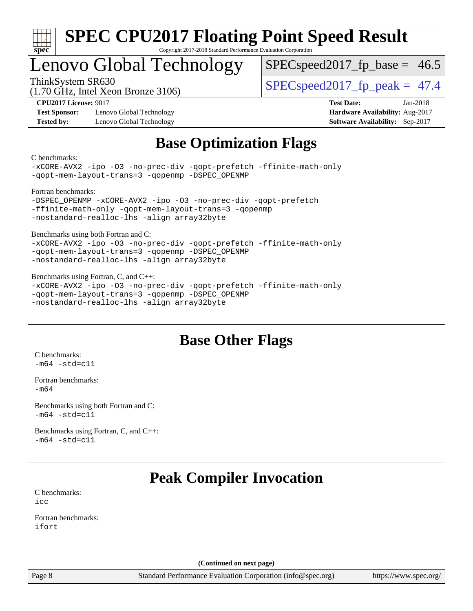

# Lenovo Global Technology

 $SPECspeed2017<sub>fp</sub> base = 46.5$ 

(1.70 GHz, Intel Xeon Bronze 3106)

ThinkSystem SR630  $SPEC speed2017$  fp\_peak = 47.4

**[Test Sponsor:](http://www.spec.org/auto/cpu2017/Docs/result-fields.html#TestSponsor)** Lenovo Global Technology **[Hardware Availability:](http://www.spec.org/auto/cpu2017/Docs/result-fields.html#HardwareAvailability)** Aug-2017 **[Tested by:](http://www.spec.org/auto/cpu2017/Docs/result-fields.html#Testedby)** Lenovo Global Technology **[Software Availability:](http://www.spec.org/auto/cpu2017/Docs/result-fields.html#SoftwareAvailability)** Sep-2017

**[CPU2017 License:](http://www.spec.org/auto/cpu2017/Docs/result-fields.html#CPU2017License)** 9017 **[Test Date:](http://www.spec.org/auto/cpu2017/Docs/result-fields.html#TestDate)** Jan-2018

# **[Base Optimization Flags](http://www.spec.org/auto/cpu2017/Docs/result-fields.html#BaseOptimizationFlags)**

[C benchmarks:](http://www.spec.org/auto/cpu2017/Docs/result-fields.html#Cbenchmarks)

[-xCORE-AVX2](http://www.spec.org/cpu2017/results/res2018q1/cpu2017-20180122-02756.flags.html#user_CCbase_f-xCORE-AVX2) [-ipo](http://www.spec.org/cpu2017/results/res2018q1/cpu2017-20180122-02756.flags.html#user_CCbase_f-ipo) [-O3](http://www.spec.org/cpu2017/results/res2018q1/cpu2017-20180122-02756.flags.html#user_CCbase_f-O3) [-no-prec-div](http://www.spec.org/cpu2017/results/res2018q1/cpu2017-20180122-02756.flags.html#user_CCbase_f-no-prec-div) [-qopt-prefetch](http://www.spec.org/cpu2017/results/res2018q1/cpu2017-20180122-02756.flags.html#user_CCbase_f-qopt-prefetch) [-ffinite-math-only](http://www.spec.org/cpu2017/results/res2018q1/cpu2017-20180122-02756.flags.html#user_CCbase_f_finite_math_only_cb91587bd2077682c4b38af759c288ed7c732db004271a9512da14a4f8007909a5f1427ecbf1a0fb78ff2a814402c6114ac565ca162485bbcae155b5e4258871) [-qopt-mem-layout-trans=3](http://www.spec.org/cpu2017/results/res2018q1/cpu2017-20180122-02756.flags.html#user_CCbase_f-qopt-mem-layout-trans_de80db37974c74b1f0e20d883f0b675c88c3b01e9d123adea9b28688d64333345fb62bc4a798493513fdb68f60282f9a726aa07f478b2f7113531aecce732043) [-qopenmp](http://www.spec.org/cpu2017/results/res2018q1/cpu2017-20180122-02756.flags.html#user_CCbase_qopenmp_16be0c44f24f464004c6784a7acb94aca937f053568ce72f94b139a11c7c168634a55f6653758ddd83bcf7b8463e8028bb0b48b77bcddc6b78d5d95bb1df2967) [-DSPEC\\_OPENMP](http://www.spec.org/cpu2017/results/res2018q1/cpu2017-20180122-02756.flags.html#suite_CCbase_DSPEC_OPENMP)

[Fortran benchmarks:](http://www.spec.org/auto/cpu2017/Docs/result-fields.html#Fortranbenchmarks)

-DSPEC OPENMP [-xCORE-AVX2](http://www.spec.org/cpu2017/results/res2018q1/cpu2017-20180122-02756.flags.html#user_FCbase_f-xCORE-AVX2) [-ipo](http://www.spec.org/cpu2017/results/res2018q1/cpu2017-20180122-02756.flags.html#user_FCbase_f-ipo) [-O3](http://www.spec.org/cpu2017/results/res2018q1/cpu2017-20180122-02756.flags.html#user_FCbase_f-O3) [-no-prec-div](http://www.spec.org/cpu2017/results/res2018q1/cpu2017-20180122-02756.flags.html#user_FCbase_f-no-prec-div) [-qopt-prefetch](http://www.spec.org/cpu2017/results/res2018q1/cpu2017-20180122-02756.flags.html#user_FCbase_f-qopt-prefetch) [-ffinite-math-only](http://www.spec.org/cpu2017/results/res2018q1/cpu2017-20180122-02756.flags.html#user_FCbase_f_finite_math_only_cb91587bd2077682c4b38af759c288ed7c732db004271a9512da14a4f8007909a5f1427ecbf1a0fb78ff2a814402c6114ac565ca162485bbcae155b5e4258871) [-qopt-mem-layout-trans=3](http://www.spec.org/cpu2017/results/res2018q1/cpu2017-20180122-02756.flags.html#user_FCbase_f-qopt-mem-layout-trans_de80db37974c74b1f0e20d883f0b675c88c3b01e9d123adea9b28688d64333345fb62bc4a798493513fdb68f60282f9a726aa07f478b2f7113531aecce732043) [-qopenmp](http://www.spec.org/cpu2017/results/res2018q1/cpu2017-20180122-02756.flags.html#user_FCbase_qopenmp_16be0c44f24f464004c6784a7acb94aca937f053568ce72f94b139a11c7c168634a55f6653758ddd83bcf7b8463e8028bb0b48b77bcddc6b78d5d95bb1df2967) [-nostandard-realloc-lhs](http://www.spec.org/cpu2017/results/res2018q1/cpu2017-20180122-02756.flags.html#user_FCbase_f_2003_std_realloc_82b4557e90729c0f113870c07e44d33d6f5a304b4f63d4c15d2d0f1fab99f5daaed73bdb9275d9ae411527f28b936061aa8b9c8f2d63842963b95c9dd6426b8a) [-align array32byte](http://www.spec.org/cpu2017/results/res2018q1/cpu2017-20180122-02756.flags.html#user_FCbase_align_array32byte_b982fe038af199962ba9a80c053b8342c548c85b40b8e86eb3cc33dee0d7986a4af373ac2d51c3f7cf710a18d62fdce2948f201cd044323541f22fc0fffc51b6)

[Benchmarks using both Fortran and C:](http://www.spec.org/auto/cpu2017/Docs/result-fields.html#BenchmarksusingbothFortranandC)

[-xCORE-AVX2](http://www.spec.org/cpu2017/results/res2018q1/cpu2017-20180122-02756.flags.html#user_CC_FCbase_f-xCORE-AVX2) [-ipo](http://www.spec.org/cpu2017/results/res2018q1/cpu2017-20180122-02756.flags.html#user_CC_FCbase_f-ipo) [-O3](http://www.spec.org/cpu2017/results/res2018q1/cpu2017-20180122-02756.flags.html#user_CC_FCbase_f-O3) [-no-prec-div](http://www.spec.org/cpu2017/results/res2018q1/cpu2017-20180122-02756.flags.html#user_CC_FCbase_f-no-prec-div) [-qopt-prefetch](http://www.spec.org/cpu2017/results/res2018q1/cpu2017-20180122-02756.flags.html#user_CC_FCbase_f-qopt-prefetch) [-ffinite-math-only](http://www.spec.org/cpu2017/results/res2018q1/cpu2017-20180122-02756.flags.html#user_CC_FCbase_f_finite_math_only_cb91587bd2077682c4b38af759c288ed7c732db004271a9512da14a4f8007909a5f1427ecbf1a0fb78ff2a814402c6114ac565ca162485bbcae155b5e4258871) [-qopt-mem-layout-trans=3](http://www.spec.org/cpu2017/results/res2018q1/cpu2017-20180122-02756.flags.html#user_CC_FCbase_f-qopt-mem-layout-trans_de80db37974c74b1f0e20d883f0b675c88c3b01e9d123adea9b28688d64333345fb62bc4a798493513fdb68f60282f9a726aa07f478b2f7113531aecce732043) [-qopenmp](http://www.spec.org/cpu2017/results/res2018q1/cpu2017-20180122-02756.flags.html#user_CC_FCbase_qopenmp_16be0c44f24f464004c6784a7acb94aca937f053568ce72f94b139a11c7c168634a55f6653758ddd83bcf7b8463e8028bb0b48b77bcddc6b78d5d95bb1df2967) [-DSPEC\\_OPENMP](http://www.spec.org/cpu2017/results/res2018q1/cpu2017-20180122-02756.flags.html#suite_CC_FCbase_DSPEC_OPENMP) [-nostandard-realloc-lhs](http://www.spec.org/cpu2017/results/res2018q1/cpu2017-20180122-02756.flags.html#user_CC_FCbase_f_2003_std_realloc_82b4557e90729c0f113870c07e44d33d6f5a304b4f63d4c15d2d0f1fab99f5daaed73bdb9275d9ae411527f28b936061aa8b9c8f2d63842963b95c9dd6426b8a) [-align array32byte](http://www.spec.org/cpu2017/results/res2018q1/cpu2017-20180122-02756.flags.html#user_CC_FCbase_align_array32byte_b982fe038af199962ba9a80c053b8342c548c85b40b8e86eb3cc33dee0d7986a4af373ac2d51c3f7cf710a18d62fdce2948f201cd044323541f22fc0fffc51b6)

[Benchmarks using Fortran, C, and C++](http://www.spec.org/auto/cpu2017/Docs/result-fields.html#BenchmarksusingFortranCandCXX): [-xCORE-AVX2](http://www.spec.org/cpu2017/results/res2018q1/cpu2017-20180122-02756.flags.html#user_CC_CXX_FCbase_f-xCORE-AVX2) [-ipo](http://www.spec.org/cpu2017/results/res2018q1/cpu2017-20180122-02756.flags.html#user_CC_CXX_FCbase_f-ipo) [-O3](http://www.spec.org/cpu2017/results/res2018q1/cpu2017-20180122-02756.flags.html#user_CC_CXX_FCbase_f-O3) [-no-prec-div](http://www.spec.org/cpu2017/results/res2018q1/cpu2017-20180122-02756.flags.html#user_CC_CXX_FCbase_f-no-prec-div) [-qopt-prefetch](http://www.spec.org/cpu2017/results/res2018q1/cpu2017-20180122-02756.flags.html#user_CC_CXX_FCbase_f-qopt-prefetch) [-ffinite-math-only](http://www.spec.org/cpu2017/results/res2018q1/cpu2017-20180122-02756.flags.html#user_CC_CXX_FCbase_f_finite_math_only_cb91587bd2077682c4b38af759c288ed7c732db004271a9512da14a4f8007909a5f1427ecbf1a0fb78ff2a814402c6114ac565ca162485bbcae155b5e4258871) [-qopt-mem-layout-trans=3](http://www.spec.org/cpu2017/results/res2018q1/cpu2017-20180122-02756.flags.html#user_CC_CXX_FCbase_f-qopt-mem-layout-trans_de80db37974c74b1f0e20d883f0b675c88c3b01e9d123adea9b28688d64333345fb62bc4a798493513fdb68f60282f9a726aa07f478b2f7113531aecce732043) [-qopenmp](http://www.spec.org/cpu2017/results/res2018q1/cpu2017-20180122-02756.flags.html#user_CC_CXX_FCbase_qopenmp_16be0c44f24f464004c6784a7acb94aca937f053568ce72f94b139a11c7c168634a55f6653758ddd83bcf7b8463e8028bb0b48b77bcddc6b78d5d95bb1df2967) [-DSPEC\\_OPENMP](http://www.spec.org/cpu2017/results/res2018q1/cpu2017-20180122-02756.flags.html#suite_CC_CXX_FCbase_DSPEC_OPENMP) [-nostandard-realloc-lhs](http://www.spec.org/cpu2017/results/res2018q1/cpu2017-20180122-02756.flags.html#user_CC_CXX_FCbase_f_2003_std_realloc_82b4557e90729c0f113870c07e44d33d6f5a304b4f63d4c15d2d0f1fab99f5daaed73bdb9275d9ae411527f28b936061aa8b9c8f2d63842963b95c9dd6426b8a) [-align array32byte](http://www.spec.org/cpu2017/results/res2018q1/cpu2017-20180122-02756.flags.html#user_CC_CXX_FCbase_align_array32byte_b982fe038af199962ba9a80c053b8342c548c85b40b8e86eb3cc33dee0d7986a4af373ac2d51c3f7cf710a18d62fdce2948f201cd044323541f22fc0fffc51b6)

### **[Base Other Flags](http://www.spec.org/auto/cpu2017/Docs/result-fields.html#BaseOtherFlags)**

[C benchmarks](http://www.spec.org/auto/cpu2017/Docs/result-fields.html#Cbenchmarks):  $-m64 - std= c11$  $-m64 - std= c11$ 

[Fortran benchmarks](http://www.spec.org/auto/cpu2017/Docs/result-fields.html#Fortranbenchmarks): [-m64](http://www.spec.org/cpu2017/results/res2018q1/cpu2017-20180122-02756.flags.html#user_FCbase_intel_intel64_18.0_af43caccfc8ded86e7699f2159af6efc7655f51387b94da716254467f3c01020a5059329e2569e4053f409e7c9202a7efc638f7a6d1ffb3f52dea4a3e31d82ab)

[Benchmarks using both Fortran and C](http://www.spec.org/auto/cpu2017/Docs/result-fields.html#BenchmarksusingbothFortranandC):  $-m64$   $-std=cl1$ 

[Benchmarks using Fortran, C, and C++:](http://www.spec.org/auto/cpu2017/Docs/result-fields.html#BenchmarksusingFortranCandCXX)  $-m64 - std= c11$  $-m64 - std= c11$ 

# **[Peak Compiler Invocation](http://www.spec.org/auto/cpu2017/Docs/result-fields.html#PeakCompilerInvocation)**

[C benchmarks](http://www.spec.org/auto/cpu2017/Docs/result-fields.html#Cbenchmarks): [icc](http://www.spec.org/cpu2017/results/res2018q1/cpu2017-20180122-02756.flags.html#user_CCpeak_intel_icc_18.0_66fc1ee009f7361af1fbd72ca7dcefbb700085f36577c54f309893dd4ec40d12360134090235512931783d35fd58c0460139e722d5067c5574d8eaf2b3e37e92)

[Fortran benchmarks](http://www.spec.org/auto/cpu2017/Docs/result-fields.html#Fortranbenchmarks): [ifort](http://www.spec.org/cpu2017/results/res2018q1/cpu2017-20180122-02756.flags.html#user_FCpeak_intel_ifort_18.0_8111460550e3ca792625aed983ce982f94888b8b503583aa7ba2b8303487b4d8a21a13e7191a45c5fd58ff318f48f9492884d4413fa793fd88dd292cad7027ca)

**(Continued on next page)**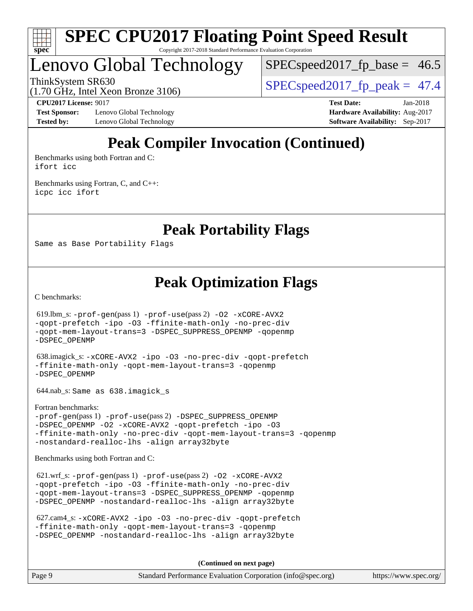

# Lenovo Global Technology

 $SPECspeed2017<sub>fp</sub> base = 46.5$ 

ThinkSystem SR630<br>(1.70 GHz, Intel Year Bronze 3106) [SPECspeed2017\\_fp\\_peak =](http://www.spec.org/auto/cpu2017/Docs/result-fields.html#SPECspeed2017fppeak) 47.4

(1.70 GHz, Intel Xeon Bronze 3106)

**[Test Sponsor:](http://www.spec.org/auto/cpu2017/Docs/result-fields.html#TestSponsor)** Lenovo Global Technology **[Hardware Availability:](http://www.spec.org/auto/cpu2017/Docs/result-fields.html#HardwareAvailability)** Aug-2017 **[Tested by:](http://www.spec.org/auto/cpu2017/Docs/result-fields.html#Testedby)** Lenovo Global Technology **[Software Availability:](http://www.spec.org/auto/cpu2017/Docs/result-fields.html#SoftwareAvailability)** Sep-2017

**[CPU2017 License:](http://www.spec.org/auto/cpu2017/Docs/result-fields.html#CPU2017License)** 9017 **[Test Date:](http://www.spec.org/auto/cpu2017/Docs/result-fields.html#TestDate)** Jan-2018

# **[Peak Compiler Invocation \(Continued\)](http://www.spec.org/auto/cpu2017/Docs/result-fields.html#PeakCompilerInvocation)**

[Benchmarks using both Fortran and C](http://www.spec.org/auto/cpu2017/Docs/result-fields.html#BenchmarksusingbothFortranandC): [ifort](http://www.spec.org/cpu2017/results/res2018q1/cpu2017-20180122-02756.flags.html#user_CC_FCpeak_intel_ifort_18.0_8111460550e3ca792625aed983ce982f94888b8b503583aa7ba2b8303487b4d8a21a13e7191a45c5fd58ff318f48f9492884d4413fa793fd88dd292cad7027ca) [icc](http://www.spec.org/cpu2017/results/res2018q1/cpu2017-20180122-02756.flags.html#user_CC_FCpeak_intel_icc_18.0_66fc1ee009f7361af1fbd72ca7dcefbb700085f36577c54f309893dd4ec40d12360134090235512931783d35fd58c0460139e722d5067c5574d8eaf2b3e37e92)

[Benchmarks using Fortran, C, and C++:](http://www.spec.org/auto/cpu2017/Docs/result-fields.html#BenchmarksusingFortranCandCXX) [icpc](http://www.spec.org/cpu2017/results/res2018q1/cpu2017-20180122-02756.flags.html#user_CC_CXX_FCpeak_intel_icpc_18.0_c510b6838c7f56d33e37e94d029a35b4a7bccf4766a728ee175e80a419847e808290a9b78be685c44ab727ea267ec2f070ec5dc83b407c0218cded6866a35d07) [icc](http://www.spec.org/cpu2017/results/res2018q1/cpu2017-20180122-02756.flags.html#user_CC_CXX_FCpeak_intel_icc_18.0_66fc1ee009f7361af1fbd72ca7dcefbb700085f36577c54f309893dd4ec40d12360134090235512931783d35fd58c0460139e722d5067c5574d8eaf2b3e37e92) [ifort](http://www.spec.org/cpu2017/results/res2018q1/cpu2017-20180122-02756.flags.html#user_CC_CXX_FCpeak_intel_ifort_18.0_8111460550e3ca792625aed983ce982f94888b8b503583aa7ba2b8303487b4d8a21a13e7191a45c5fd58ff318f48f9492884d4413fa793fd88dd292cad7027ca)

**[Peak Portability Flags](http://www.spec.org/auto/cpu2017/Docs/result-fields.html#PeakPortabilityFlags)**

Same as Base Portability Flags

**[Peak Optimization Flags](http://www.spec.org/auto/cpu2017/Docs/result-fields.html#PeakOptimizationFlags)**

[C benchmarks](http://www.spec.org/auto/cpu2017/Docs/result-fields.html#Cbenchmarks):

 619.lbm\_s: [-prof-gen](http://www.spec.org/cpu2017/results/res2018q1/cpu2017-20180122-02756.flags.html#user_peakPASS1_CFLAGSPASS1_LDFLAGS619_lbm_s_prof_gen_5aa4926d6013ddb2a31985c654b3eb18169fc0c6952a63635c234f711e6e63dd76e94ad52365559451ec499a2cdb89e4dc58ba4c67ef54ca681ffbe1461d6b36)(pass 1) [-prof-use](http://www.spec.org/cpu2017/results/res2018q1/cpu2017-20180122-02756.flags.html#user_peakPASS2_CFLAGSPASS2_LDFLAGS619_lbm_s_prof_use_1a21ceae95f36a2b53c25747139a6c16ca95bd9def2a207b4f0849963b97e94f5260e30a0c64f4bb623698870e679ca08317ef8150905d41bd88c6f78df73f19)(pass 2) [-O2](http://www.spec.org/cpu2017/results/res2018q1/cpu2017-20180122-02756.flags.html#user_peakPASS1_COPTIMIZE619_lbm_s_f-O2) [-xCORE-AVX2](http://www.spec.org/cpu2017/results/res2018q1/cpu2017-20180122-02756.flags.html#user_peakPASS2_COPTIMIZE619_lbm_s_f-xCORE-AVX2) [-qopt-prefetch](http://www.spec.org/cpu2017/results/res2018q1/cpu2017-20180122-02756.flags.html#user_peakPASS1_COPTIMIZEPASS2_COPTIMIZE619_lbm_s_f-qopt-prefetch) [-ipo](http://www.spec.org/cpu2017/results/res2018q1/cpu2017-20180122-02756.flags.html#user_peakPASS2_COPTIMIZE619_lbm_s_f-ipo) [-O3](http://www.spec.org/cpu2017/results/res2018q1/cpu2017-20180122-02756.flags.html#user_peakPASS2_COPTIMIZE619_lbm_s_f-O3) [-ffinite-math-only](http://www.spec.org/cpu2017/results/res2018q1/cpu2017-20180122-02756.flags.html#user_peakPASS1_COPTIMIZEPASS2_COPTIMIZE619_lbm_s_f_finite_math_only_cb91587bd2077682c4b38af759c288ed7c732db004271a9512da14a4f8007909a5f1427ecbf1a0fb78ff2a814402c6114ac565ca162485bbcae155b5e4258871) [-no-prec-div](http://www.spec.org/cpu2017/results/res2018q1/cpu2017-20180122-02756.flags.html#user_peakPASS2_COPTIMIZE619_lbm_s_f-no-prec-div) [-qopt-mem-layout-trans=3](http://www.spec.org/cpu2017/results/res2018q1/cpu2017-20180122-02756.flags.html#user_peakPASS1_COPTIMIZEPASS2_COPTIMIZE619_lbm_s_f-qopt-mem-layout-trans_de80db37974c74b1f0e20d883f0b675c88c3b01e9d123adea9b28688d64333345fb62bc4a798493513fdb68f60282f9a726aa07f478b2f7113531aecce732043) [-DSPEC\\_SUPPRESS\\_OPENMP](http://www.spec.org/cpu2017/results/res2018q1/cpu2017-20180122-02756.flags.html#suite_peakPASS1_COPTIMIZE619_lbm_s_DSPEC_SUPPRESS_OPENMP) [-qopenmp](http://www.spec.org/cpu2017/results/res2018q1/cpu2017-20180122-02756.flags.html#user_peakPASS2_COPTIMIZE619_lbm_s_qopenmp_16be0c44f24f464004c6784a7acb94aca937f053568ce72f94b139a11c7c168634a55f6653758ddd83bcf7b8463e8028bb0b48b77bcddc6b78d5d95bb1df2967) [-DSPEC\\_OPENMP](http://www.spec.org/cpu2017/results/res2018q1/cpu2017-20180122-02756.flags.html#suite_peakPASS2_COPTIMIZE619_lbm_s_DSPEC_OPENMP) 638.imagick\_s: [-xCORE-AVX2](http://www.spec.org/cpu2017/results/res2018q1/cpu2017-20180122-02756.flags.html#user_peakCOPTIMIZE638_imagick_s_f-xCORE-AVX2) [-ipo](http://www.spec.org/cpu2017/results/res2018q1/cpu2017-20180122-02756.flags.html#user_peakCOPTIMIZE638_imagick_s_f-ipo) [-O3](http://www.spec.org/cpu2017/results/res2018q1/cpu2017-20180122-02756.flags.html#user_peakCOPTIMIZE638_imagick_s_f-O3) [-no-prec-div](http://www.spec.org/cpu2017/results/res2018q1/cpu2017-20180122-02756.flags.html#user_peakCOPTIMIZE638_imagick_s_f-no-prec-div) [-qopt-prefetch](http://www.spec.org/cpu2017/results/res2018q1/cpu2017-20180122-02756.flags.html#user_peakCOPTIMIZE638_imagick_s_f-qopt-prefetch) [-ffinite-math-only](http://www.spec.org/cpu2017/results/res2018q1/cpu2017-20180122-02756.flags.html#user_peakCOPTIMIZE638_imagick_s_f_finite_math_only_cb91587bd2077682c4b38af759c288ed7c732db004271a9512da14a4f8007909a5f1427ecbf1a0fb78ff2a814402c6114ac565ca162485bbcae155b5e4258871) [-qopt-mem-layout-trans=3](http://www.spec.org/cpu2017/results/res2018q1/cpu2017-20180122-02756.flags.html#user_peakCOPTIMIZE638_imagick_s_f-qopt-mem-layout-trans_de80db37974c74b1f0e20d883f0b675c88c3b01e9d123adea9b28688d64333345fb62bc4a798493513fdb68f60282f9a726aa07f478b2f7113531aecce732043) [-qopenmp](http://www.spec.org/cpu2017/results/res2018q1/cpu2017-20180122-02756.flags.html#user_peakCOPTIMIZE638_imagick_s_qopenmp_16be0c44f24f464004c6784a7acb94aca937f053568ce72f94b139a11c7c168634a55f6653758ddd83bcf7b8463e8028bb0b48b77bcddc6b78d5d95bb1df2967) [-DSPEC\\_OPENMP](http://www.spec.org/cpu2017/results/res2018q1/cpu2017-20180122-02756.flags.html#suite_peakCOPTIMIZE638_imagick_s_DSPEC_OPENMP) 644.nab\_s: Same as 638.imagick\_s [Fortran benchmarks](http://www.spec.org/auto/cpu2017/Docs/result-fields.html#Fortranbenchmarks): [-prof-gen](http://www.spec.org/cpu2017/results/res2018q1/cpu2017-20180122-02756.flags.html#user_FCpeak_prof_gen_5aa4926d6013ddb2a31985c654b3eb18169fc0c6952a63635c234f711e6e63dd76e94ad52365559451ec499a2cdb89e4dc58ba4c67ef54ca681ffbe1461d6b36)(pass 1) [-prof-use](http://www.spec.org/cpu2017/results/res2018q1/cpu2017-20180122-02756.flags.html#user_FCpeak_prof_use_1a21ceae95f36a2b53c25747139a6c16ca95bd9def2a207b4f0849963b97e94f5260e30a0c64f4bb623698870e679ca08317ef8150905d41bd88c6f78df73f19)(pass 2) [-DSPEC\\_SUPPRESS\\_OPENMP](http://www.spec.org/cpu2017/results/res2018q1/cpu2017-20180122-02756.flags.html#suite_FCpeak_DSPEC_SUPPRESS_OPENMP) [-DSPEC\\_OPENMP](http://www.spec.org/cpu2017/results/res2018q1/cpu2017-20180122-02756.flags.html#suite_FCpeak_DSPEC_OPENMP) [-O2](http://www.spec.org/cpu2017/results/res2018q1/cpu2017-20180122-02756.flags.html#user_FCpeak_f-O2) [-xCORE-AVX2](http://www.spec.org/cpu2017/results/res2018q1/cpu2017-20180122-02756.flags.html#user_FCpeak_f-xCORE-AVX2) [-qopt-prefetch](http://www.spec.org/cpu2017/results/res2018q1/cpu2017-20180122-02756.flags.html#user_FCpeak_f-qopt-prefetch) [-ipo](http://www.spec.org/cpu2017/results/res2018q1/cpu2017-20180122-02756.flags.html#user_FCpeak_f-ipo) [-O3](http://www.spec.org/cpu2017/results/res2018q1/cpu2017-20180122-02756.flags.html#user_FCpeak_f-O3) [-ffinite-math-only](http://www.spec.org/cpu2017/results/res2018q1/cpu2017-20180122-02756.flags.html#user_FCpeak_f_finite_math_only_cb91587bd2077682c4b38af759c288ed7c732db004271a9512da14a4f8007909a5f1427ecbf1a0fb78ff2a814402c6114ac565ca162485bbcae155b5e4258871) [-no-prec-div](http://www.spec.org/cpu2017/results/res2018q1/cpu2017-20180122-02756.flags.html#user_FCpeak_f-no-prec-div) [-qopt-mem-layout-trans=3](http://www.spec.org/cpu2017/results/res2018q1/cpu2017-20180122-02756.flags.html#user_FCpeak_f-qopt-mem-layout-trans_de80db37974c74b1f0e20d883f0b675c88c3b01e9d123adea9b28688d64333345fb62bc4a798493513fdb68f60282f9a726aa07f478b2f7113531aecce732043) [-qopenmp](http://www.spec.org/cpu2017/results/res2018q1/cpu2017-20180122-02756.flags.html#user_FCpeak_qopenmp_16be0c44f24f464004c6784a7acb94aca937f053568ce72f94b139a11c7c168634a55f6653758ddd83bcf7b8463e8028bb0b48b77bcddc6b78d5d95bb1df2967) [-nostandard-realloc-lhs](http://www.spec.org/cpu2017/results/res2018q1/cpu2017-20180122-02756.flags.html#user_FCpeak_f_2003_std_realloc_82b4557e90729c0f113870c07e44d33d6f5a304b4f63d4c15d2d0f1fab99f5daaed73bdb9275d9ae411527f28b936061aa8b9c8f2d63842963b95c9dd6426b8a) [-align array32byte](http://www.spec.org/cpu2017/results/res2018q1/cpu2017-20180122-02756.flags.html#user_FCpeak_align_array32byte_b982fe038af199962ba9a80c053b8342c548c85b40b8e86eb3cc33dee0d7986a4af373ac2d51c3f7cf710a18d62fdce2948f201cd044323541f22fc0fffc51b6) [Benchmarks using both Fortran and C](http://www.spec.org/auto/cpu2017/Docs/result-fields.html#BenchmarksusingbothFortranandC): 621.wrf\_s: [-prof-gen](http://www.spec.org/cpu2017/results/res2018q1/cpu2017-20180122-02756.flags.html#user_peakPASS1_CFLAGSPASS1_FFLAGSPASS1_LDFLAGS621_wrf_s_prof_gen_5aa4926d6013ddb2a31985c654b3eb18169fc0c6952a63635c234f711e6e63dd76e94ad52365559451ec499a2cdb89e4dc58ba4c67ef54ca681ffbe1461d6b36)(pass 1) [-prof-use](http://www.spec.org/cpu2017/results/res2018q1/cpu2017-20180122-02756.flags.html#user_peakPASS2_CFLAGSPASS2_FFLAGSPASS2_LDFLAGS621_wrf_s_prof_use_1a21ceae95f36a2b53c25747139a6c16ca95bd9def2a207b4f0849963b97e94f5260e30a0c64f4bb623698870e679ca08317ef8150905d41bd88c6f78df73f19)(pass 2) [-O2](http://www.spec.org/cpu2017/results/res2018q1/cpu2017-20180122-02756.flags.html#user_peakPASS1_COPTIMIZEPASS1_FOPTIMIZE621_wrf_s_f-O2) [-xCORE-AVX2](http://www.spec.org/cpu2017/results/res2018q1/cpu2017-20180122-02756.flags.html#user_peakPASS2_COPTIMIZEPASS2_FOPTIMIZE621_wrf_s_f-xCORE-AVX2) [-qopt-prefetch](http://www.spec.org/cpu2017/results/res2018q1/cpu2017-20180122-02756.flags.html#user_peakPASS1_COPTIMIZEPASS1_FOPTIMIZEPASS2_COPTIMIZEPASS2_FOPTIMIZE621_wrf_s_f-qopt-prefetch) [-ipo](http://www.spec.org/cpu2017/results/res2018q1/cpu2017-20180122-02756.flags.html#user_peakPASS2_COPTIMIZEPASS2_FOPTIMIZE621_wrf_s_f-ipo) [-O3](http://www.spec.org/cpu2017/results/res2018q1/cpu2017-20180122-02756.flags.html#user_peakPASS2_COPTIMIZEPASS2_FOPTIMIZE621_wrf_s_f-O3) [-ffinite-math-only](http://www.spec.org/cpu2017/results/res2018q1/cpu2017-20180122-02756.flags.html#user_peakPASS1_COPTIMIZEPASS1_FOPTIMIZEPASS2_COPTIMIZEPASS2_FOPTIMIZE621_wrf_s_f_finite_math_only_cb91587bd2077682c4b38af759c288ed7c732db004271a9512da14a4f8007909a5f1427ecbf1a0fb78ff2a814402c6114ac565ca162485bbcae155b5e4258871) [-no-prec-div](http://www.spec.org/cpu2017/results/res2018q1/cpu2017-20180122-02756.flags.html#user_peakPASS2_COPTIMIZEPASS2_FOPTIMIZE621_wrf_s_f-no-prec-div) [-qopt-mem-layout-trans=3](http://www.spec.org/cpu2017/results/res2018q1/cpu2017-20180122-02756.flags.html#user_peakPASS1_COPTIMIZEPASS1_FOPTIMIZEPASS2_COPTIMIZEPASS2_FOPTIMIZE621_wrf_s_f-qopt-mem-layout-trans_de80db37974c74b1f0e20d883f0b675c88c3b01e9d123adea9b28688d64333345fb62bc4a798493513fdb68f60282f9a726aa07f478b2f7113531aecce732043) [-DSPEC\\_SUPPRESS\\_OPENMP](http://www.spec.org/cpu2017/results/res2018q1/cpu2017-20180122-02756.flags.html#suite_peakPASS1_COPTIMIZEPASS1_FOPTIMIZE621_wrf_s_DSPEC_SUPPRESS_OPENMP) [-qopenmp](http://www.spec.org/cpu2017/results/res2018q1/cpu2017-20180122-02756.flags.html#user_peakPASS2_COPTIMIZEPASS2_FOPTIMIZE621_wrf_s_qopenmp_16be0c44f24f464004c6784a7acb94aca937f053568ce72f94b139a11c7c168634a55f6653758ddd83bcf7b8463e8028bb0b48b77bcddc6b78d5d95bb1df2967) [-DSPEC\\_OPENMP](http://www.spec.org/cpu2017/results/res2018q1/cpu2017-20180122-02756.flags.html#suite_peakPASS2_COPTIMIZEPASS2_FOPTIMIZE621_wrf_s_DSPEC_OPENMP) [-nostandard-realloc-lhs](http://www.spec.org/cpu2017/results/res2018q1/cpu2017-20180122-02756.flags.html#user_peakEXTRA_FOPTIMIZE621_wrf_s_f_2003_std_realloc_82b4557e90729c0f113870c07e44d33d6f5a304b4f63d4c15d2d0f1fab99f5daaed73bdb9275d9ae411527f28b936061aa8b9c8f2d63842963b95c9dd6426b8a) [-align array32byte](http://www.spec.org/cpu2017/results/res2018q1/cpu2017-20180122-02756.flags.html#user_peakEXTRA_FOPTIMIZE621_wrf_s_align_array32byte_b982fe038af199962ba9a80c053b8342c548c85b40b8e86eb3cc33dee0d7986a4af373ac2d51c3f7cf710a18d62fdce2948f201cd044323541f22fc0fffc51b6)

 627.cam4\_s: [-xCORE-AVX2](http://www.spec.org/cpu2017/results/res2018q1/cpu2017-20180122-02756.flags.html#user_peakCOPTIMIZEFOPTIMIZE627_cam4_s_f-xCORE-AVX2) [-ipo](http://www.spec.org/cpu2017/results/res2018q1/cpu2017-20180122-02756.flags.html#user_peakCOPTIMIZEFOPTIMIZE627_cam4_s_f-ipo) [-O3](http://www.spec.org/cpu2017/results/res2018q1/cpu2017-20180122-02756.flags.html#user_peakCOPTIMIZEFOPTIMIZE627_cam4_s_f-O3) [-no-prec-div](http://www.spec.org/cpu2017/results/res2018q1/cpu2017-20180122-02756.flags.html#user_peakCOPTIMIZEFOPTIMIZE627_cam4_s_f-no-prec-div) [-qopt-prefetch](http://www.spec.org/cpu2017/results/res2018q1/cpu2017-20180122-02756.flags.html#user_peakCOPTIMIZEFOPTIMIZE627_cam4_s_f-qopt-prefetch) [-ffinite-math-only](http://www.spec.org/cpu2017/results/res2018q1/cpu2017-20180122-02756.flags.html#user_peakCOPTIMIZEFOPTIMIZE627_cam4_s_f_finite_math_only_cb91587bd2077682c4b38af759c288ed7c732db004271a9512da14a4f8007909a5f1427ecbf1a0fb78ff2a814402c6114ac565ca162485bbcae155b5e4258871) [-qopt-mem-layout-trans=3](http://www.spec.org/cpu2017/results/res2018q1/cpu2017-20180122-02756.flags.html#user_peakCOPTIMIZEFOPTIMIZE627_cam4_s_f-qopt-mem-layout-trans_de80db37974c74b1f0e20d883f0b675c88c3b01e9d123adea9b28688d64333345fb62bc4a798493513fdb68f60282f9a726aa07f478b2f7113531aecce732043) [-qopenmp](http://www.spec.org/cpu2017/results/res2018q1/cpu2017-20180122-02756.flags.html#user_peakCOPTIMIZEFOPTIMIZE627_cam4_s_qopenmp_16be0c44f24f464004c6784a7acb94aca937f053568ce72f94b139a11c7c168634a55f6653758ddd83bcf7b8463e8028bb0b48b77bcddc6b78d5d95bb1df2967) [-DSPEC\\_OPENMP](http://www.spec.org/cpu2017/results/res2018q1/cpu2017-20180122-02756.flags.html#suite_peakCOPTIMIZEFOPTIMIZE627_cam4_s_DSPEC_OPENMP) [-nostandard-realloc-lhs](http://www.spec.org/cpu2017/results/res2018q1/cpu2017-20180122-02756.flags.html#user_peakEXTRA_FOPTIMIZE627_cam4_s_f_2003_std_realloc_82b4557e90729c0f113870c07e44d33d6f5a304b4f63d4c15d2d0f1fab99f5daaed73bdb9275d9ae411527f28b936061aa8b9c8f2d63842963b95c9dd6426b8a) [-align array32byte](http://www.spec.org/cpu2017/results/res2018q1/cpu2017-20180122-02756.flags.html#user_peakEXTRA_FOPTIMIZE627_cam4_s_align_array32byte_b982fe038af199962ba9a80c053b8342c548c85b40b8e86eb3cc33dee0d7986a4af373ac2d51c3f7cf710a18d62fdce2948f201cd044323541f22fc0fffc51b6)

**(Continued on next page)**